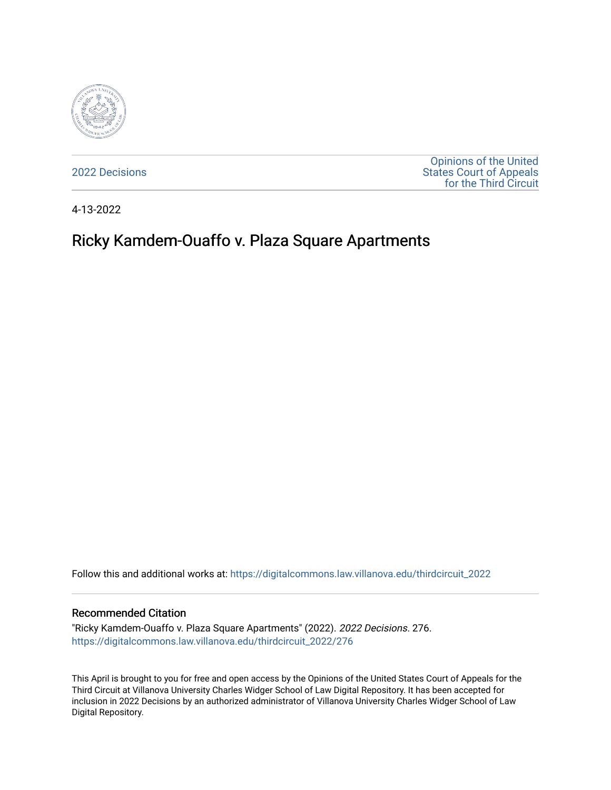

[2022 Decisions](https://digitalcommons.law.villanova.edu/thirdcircuit_2022)

[Opinions of the United](https://digitalcommons.law.villanova.edu/thirdcircuit)  [States Court of Appeals](https://digitalcommons.law.villanova.edu/thirdcircuit)  [for the Third Circuit](https://digitalcommons.law.villanova.edu/thirdcircuit) 

4-13-2022

# Ricky Kamdem-Ouaffo v. Plaza Square Apartments

Follow this and additional works at: [https://digitalcommons.law.villanova.edu/thirdcircuit\\_2022](https://digitalcommons.law.villanova.edu/thirdcircuit_2022?utm_source=digitalcommons.law.villanova.edu%2Fthirdcircuit_2022%2F276&utm_medium=PDF&utm_campaign=PDFCoverPages) 

#### Recommended Citation

"Ricky Kamdem-Ouaffo v. Plaza Square Apartments" (2022). 2022 Decisions. 276. [https://digitalcommons.law.villanova.edu/thirdcircuit\\_2022/276](https://digitalcommons.law.villanova.edu/thirdcircuit_2022/276?utm_source=digitalcommons.law.villanova.edu%2Fthirdcircuit_2022%2F276&utm_medium=PDF&utm_campaign=PDFCoverPages)

This April is brought to you for free and open access by the Opinions of the United States Court of Appeals for the Third Circuit at Villanova University Charles Widger School of Law Digital Repository. It has been accepted for inclusion in 2022 Decisions by an authorized administrator of Villanova University Charles Widger School of Law Digital Repository.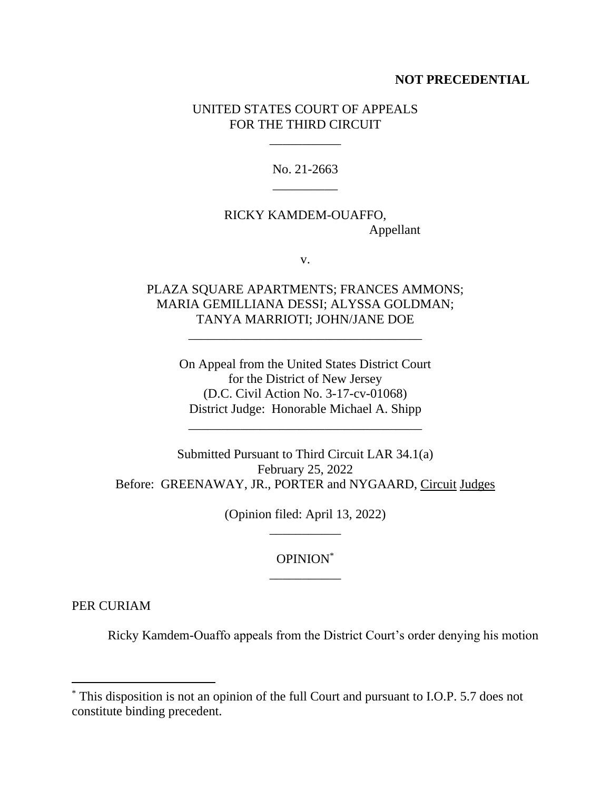#### **NOT PRECEDENTIAL**

### UNITED STATES COURT OF APPEALS FOR THE THIRD CIRCUIT

\_\_\_\_\_\_\_\_\_\_\_

No. 21-2663 \_\_\_\_\_\_\_\_\_\_

## RICKY KAMDEM-OUAFFO, Appellant

v.

## PLAZA SQUARE APARTMENTS; FRANCES AMMONS; MARIA GEMILLIANA DESSI; ALYSSA GOLDMAN; TANYA MARRIOTI; JOHN/JANE DOE

\_\_\_\_\_\_\_\_\_\_\_\_\_\_\_\_\_\_\_\_\_\_\_\_\_\_\_\_\_\_\_\_\_\_\_\_

On Appeal from the United States District Court for the District of New Jersey (D.C. Civil Action No. 3-17-cv-01068) District Judge: Honorable Michael A. Shipp

\_\_\_\_\_\_\_\_\_\_\_\_\_\_\_\_\_\_\_\_\_\_\_\_\_\_\_\_\_\_\_\_\_\_\_\_

Submitted Pursuant to Third Circuit LAR 34.1(a) February 25, 2022 Before: GREENAWAY, JR., PORTER and NYGAARD, Circuit Judges

> (Opinion filed: April 13, 2022) \_\_\_\_\_\_\_\_\_\_\_

> > OPINION\* \_\_\_\_\_\_\_\_\_\_\_

PER CURIAM

Ricky Kamdem-Ouaffo appeals from the District Court's order denying his motion

<sup>\*</sup> This disposition is not an opinion of the full Court and pursuant to I.O.P. 5.7 does not constitute binding precedent.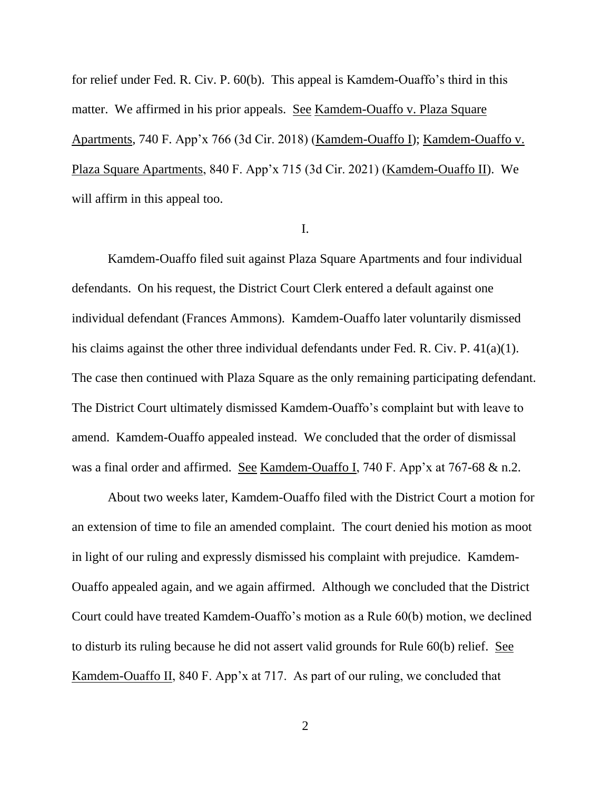for relief under Fed. R. Civ. P. 60(b). This appeal is Kamdem-Ouaffo's third in this matter. We affirmed in his prior appeals. See Kamdem-Ouaffo v. Plaza Square Apartments, 740 F. App'x 766 (3d Cir. 2018) (Kamdem-Ouaffo I); Kamdem-Ouaffo v. Plaza Square Apartments, 840 F. App'x 715 (3d Cir. 2021) (Kamdem-Ouaffo II). We will affirm in this appeal too.

#### I.

Kamdem-Ouaffo filed suit against Plaza Square Apartments and four individual defendants. On his request, the District Court Clerk entered a default against one individual defendant (Frances Ammons). Kamdem-Ouaffo later voluntarily dismissed his claims against the other three individual defendants under Fed. R. Civ. P. 41(a)(1). The case then continued with Plaza Square as the only remaining participating defendant. The District Court ultimately dismissed Kamdem-Ouaffo's complaint but with leave to amend. Kamdem-Ouaffo appealed instead. We concluded that the order of dismissal was a final order and affirmed. See Kamdem-Ouaffo I, 740 F. App'x at 767-68 & n.2.

About two weeks later, Kamdem-Ouaffo filed with the District Court a motion for an extension of time to file an amended complaint. The court denied his motion as moot in light of our ruling and expressly dismissed his complaint with prejudice. Kamdem-Ouaffo appealed again, and we again affirmed. Although we concluded that the District Court could have treated Kamdem-Ouaffo's motion as a Rule 60(b) motion, we declined to disturb its ruling because he did not assert valid grounds for Rule 60(b) relief. See Kamdem-Ouaffo II, 840 F. App'x at 717. As part of our ruling, we concluded that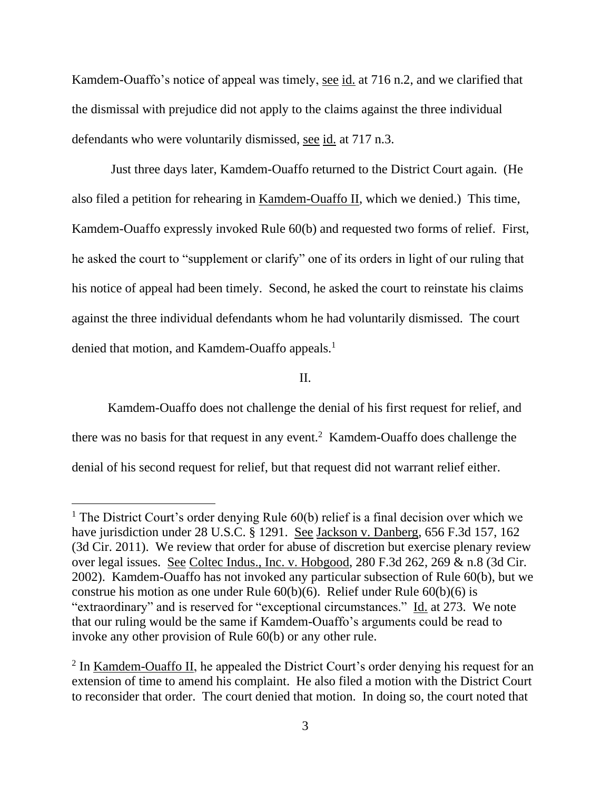Kamdem-Ouaffo's notice of appeal was timely, see id. at 716 n.2, and we clarified that the dismissal with prejudice did not apply to the claims against the three individual defendants who were voluntarily dismissed, see id. at 717 n.3.

Just three days later, Kamdem-Ouaffo returned to the District Court again. (He also filed a petition for rehearing in Kamdem-Ouaffo II, which we denied.) This time, Kamdem-Ouaffo expressly invoked Rule 60(b) and requested two forms of relief. First, he asked the court to "supplement or clarify" one of its orders in light of our ruling that his notice of appeal had been timely. Second, he asked the court to reinstate his claims against the three individual defendants whom he had voluntarily dismissed. The court denied that motion, and Kamdem-Ouaffo appeals.<sup>1</sup>

II.

Kamdem-Ouaffo does not challenge the denial of his first request for relief, and there was no basis for that request in any event.<sup>2</sup> Kamdem-Ouaffo does challenge the denial of his second request for relief, but that request did not warrant relief either.

<sup>&</sup>lt;sup>1</sup> The District Court's order denying Rule  $60(b)$  relief is a final decision over which we have jurisdiction under 28 U.S.C. § 1291. See Jackson v. Danberg, 656 F.3d 157, 162 (3d Cir. 2011). We review that order for abuse of discretion but exercise plenary review over legal issues. See Coltec Indus., Inc. v. Hobgood, 280 F.3d 262, 269 & n.8 (3d Cir. 2002). Kamdem-Ouaffo has not invoked any particular subsection of Rule 60(b), but we construe his motion as one under Rule 60(b)(6). Relief under Rule 60(b)(6) is "extraordinary" and is reserved for "exceptional circumstances." Id. at 273. We note that our ruling would be the same if Kamdem-Ouaffo's arguments could be read to invoke any other provision of Rule 60(b) or any other rule.

<sup>&</sup>lt;sup>2</sup> In <u>Kamdem-Ouaffo II</u>, he appealed the District Court's order denying his request for an extension of time to amend his complaint. He also filed a motion with the District Court to reconsider that order. The court denied that motion. In doing so, the court noted that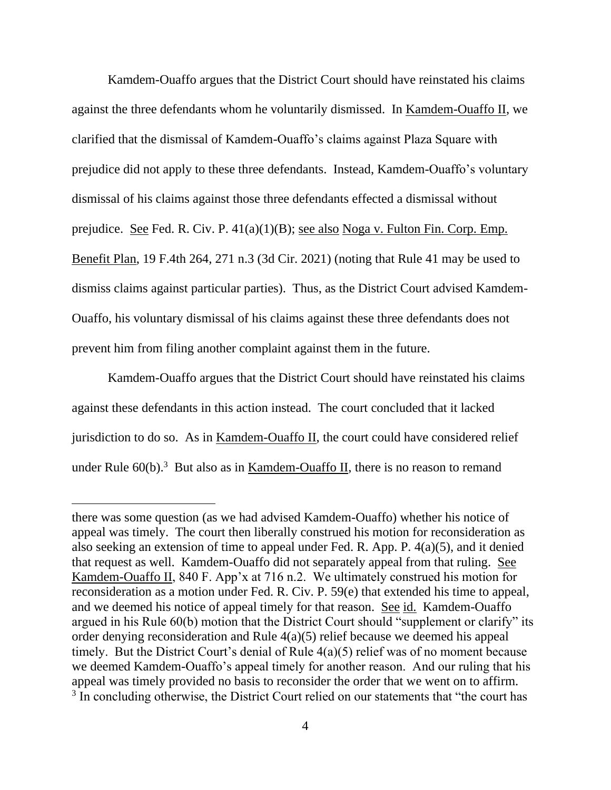Kamdem-Ouaffo argues that the District Court should have reinstated his claims against the three defendants whom he voluntarily dismissed. In Kamdem-Ouaffo II, we clarified that the dismissal of Kamdem-Ouaffo's claims against Plaza Square with prejudice did not apply to these three defendants. Instead, Kamdem-Ouaffo's voluntary dismissal of his claims against those three defendants effected a dismissal without prejudice. See Fed. R. Civ. P. 41(a)(1)(B); see also Noga v. Fulton Fin. Corp. Emp. Benefit Plan, 19 F.4th 264, 271 n.3 (3d Cir. 2021) (noting that Rule 41 may be used to dismiss claims against particular parties). Thus, as the District Court advised Kamdem-Ouaffo, his voluntary dismissal of his claims against these three defendants does not prevent him from filing another complaint against them in the future.

Kamdem-Ouaffo argues that the District Court should have reinstated his claims against these defendants in this action instead. The court concluded that it lacked jurisdiction to do so. As in Kamdem-Ouaffo II, the court could have considered relief under Rule  $60(b)$ .<sup>3</sup> But also as in <u>Kamdem-Ouaffo II</u>, there is no reason to remand

there was some question (as we had advised Kamdem-Ouaffo) whether his notice of appeal was timely. The court then liberally construed his motion for reconsideration as also seeking an extension of time to appeal under Fed. R. App. P. 4(a)(5), and it denied that request as well. Kamdem-Ouaffo did not separately appeal from that ruling. See Kamdem-Ouaffo II, 840 F. App'x at 716 n.2. We ultimately construed his motion for reconsideration as a motion under Fed. R. Civ. P. 59(e) that extended his time to appeal, and we deemed his notice of appeal timely for that reason. See id. Kamdem-Ouaffo argued in his Rule 60(b) motion that the District Court should "supplement or clarify" its order denying reconsideration and Rule 4(a)(5) relief because we deemed his appeal timely. But the District Court's denial of Rule 4(a)(5) relief was of no moment because we deemed Kamdem-Ouaffo's appeal timely for another reason. And our ruling that his appeal was timely provided no basis to reconsider the order that we went on to affirm. <sup>3</sup> In concluding otherwise, the District Court relied on our statements that "the court has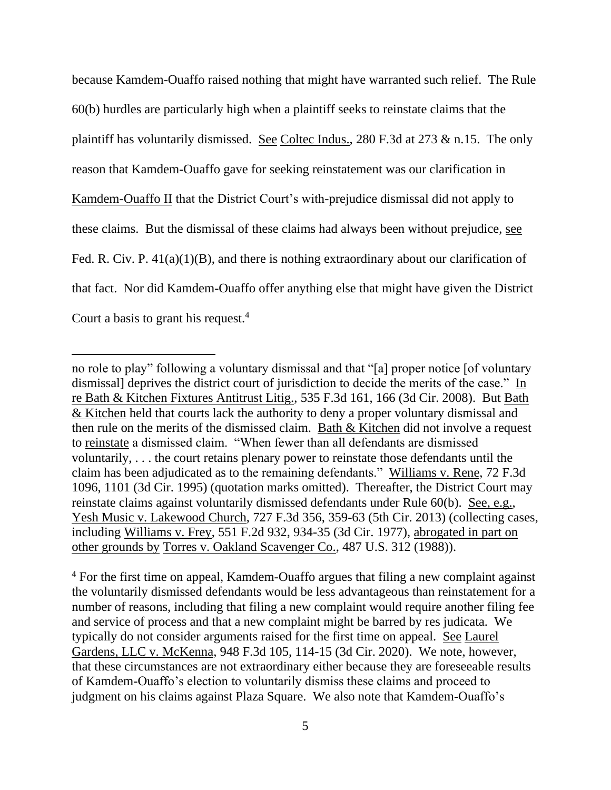because Kamdem-Ouaffo raised nothing that might have warranted such relief. The Rule 60(b) hurdles are particularly high when a plaintiff seeks to reinstate claims that the plaintiff has voluntarily dismissed. See Coltec Indus., 280 F.3d at 273 & n.15. The only reason that Kamdem-Ouaffo gave for seeking reinstatement was our clarification in Kamdem-Ouaffo II that the District Court's with-prejudice dismissal did not apply to these claims. But the dismissal of these claims had always been without prejudice, see Fed. R. Civ. P. 41(a)(1)(B), and there is nothing extraordinary about our clarification of that fact. Nor did Kamdem-Ouaffo offer anything else that might have given the District Court a basis to grant his request.<sup>4</sup>

<sup>4</sup> For the first time on appeal, Kamdem-Ouaffo argues that filing a new complaint against the voluntarily dismissed defendants would be less advantageous than reinstatement for a number of reasons, including that filing a new complaint would require another filing fee and service of process and that a new complaint might be barred by res judicata. We typically do not consider arguments raised for the first time on appeal. See Laurel Gardens, LLC v. McKenna, 948 F.3d 105, 114-15 (3d Cir. 2020). We note, however, that these circumstances are not extraordinary either because they are foreseeable results of Kamdem-Ouaffo's election to voluntarily dismiss these claims and proceed to judgment on his claims against Plaza Square. We also note that Kamdem-Ouaffo's

no role to play" following a voluntary dismissal and that "[a] proper notice [of voluntary dismissal] deprives the district court of jurisdiction to decide the merits of the case." In re Bath & Kitchen Fixtures Antitrust Litig., 535 F.3d 161, 166 (3d Cir. 2008). But Bath & Kitchen held that courts lack the authority to deny a proper voluntary dismissal and then rule on the merits of the dismissed claim. Bath & Kitchen did not involve a request to reinstate a dismissed claim. "When fewer than all defendants are dismissed voluntarily, . . . the court retains plenary power to reinstate those defendants until the claim has been adjudicated as to the remaining defendants." Williams v. Rene, 72 F.3d 1096, 1101 (3d Cir. 1995) (quotation marks omitted). Thereafter, the District Court may reinstate claims against voluntarily dismissed defendants under Rule 60(b). See, e.g., Yesh Music v. Lakewood Church, 727 F.3d 356, 359-63 (5th Cir. 2013) (collecting cases, including Williams v. Frey, 551 F.2d 932, 934-35 (3d Cir. 1977), abrogated in part on other grounds by Torres v. Oakland Scavenger Co., 487 U.S. 312 (1988)).